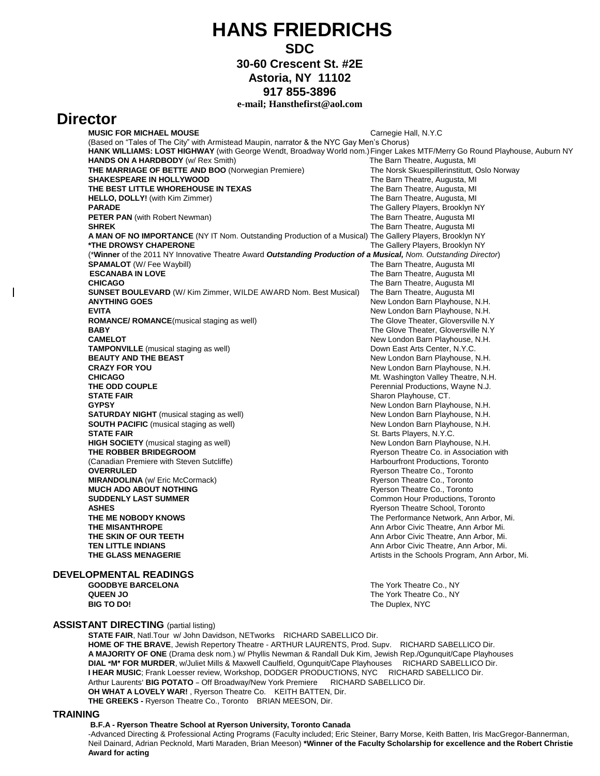# **HANS FRIEDRICHS**

### **SDC**

**30-60 Crescent St. #2E**

**Astoria, NY 11102**

**917 855-3896**

#### **e-mail; Hansthefirst@aol.com**

## **Director**

 $\overline{\phantom{a}}$ 

**MUSIC FOR MICHAEL MOUSE CALCULATE: CALCULATE:** Carnegie Hall, N.Y.C

|                               | (Based on "Tales of The City" with Armistead Maupin, narrator & the NYC Gay Men's Chorus)                                 |                                                |
|-------------------------------|---------------------------------------------------------------------------------------------------------------------------|------------------------------------------------|
|                               | HANK WILLIAMS: LOST HIGHWAY (with George Wendt, Broadway World nom.) Finger Lakes MTF/Merry Go Round Playhouse, Auburn NY |                                                |
|                               | <b>HANDS ON A HARDBODY</b> (w/ Rex Smith)                                                                                 | The Barn Theatre, Augusta, MI                  |
|                               | <b>THE MARRIAGE OF BETTE AND BOO</b> (Norwegian Premiere)                                                                 | The Norsk Skuespillerinstitutt, Oslo Norway    |
|                               | <b>SHAKESPEARE IN HOLLYWOOD</b>                                                                                           | The Barn Theatre, Augusta, MI                  |
|                               | THE BEST LITTLE WHOREHOUSE IN TEXAS                                                                                       | The Barn Theatre, Augusta, MI                  |
|                               | <b>HELLO, DOLLY!</b> (with Kim Zimmer)                                                                                    | The Barn Theatre, Augusta, MI                  |
|                               | <b>PARADE</b>                                                                                                             | The Gallery Players, Brooklyn NY               |
|                               | <b>PETER PAN</b> (with Robert Newman)                                                                                     | The Barn Theatre, Augusta MI                   |
|                               | <b>SHREK</b>                                                                                                              | The Barn Theatre, Augusta MI                   |
|                               | A MAN OF NO IMPORTANCE (NY IT Nom. Outstanding Production of a Musical) The Gallery Players, Brooklyn NY                  |                                                |
|                               | *THE DROWSY CHAPERONE                                                                                                     | The Gallery Players, Brooklyn NY               |
|                               | (*Winner of the 2011 NY Innovative Theatre Award Outstanding Production of a Musical, Nom. Outstanding Director)          |                                                |
|                               | <b>SPAMALOT</b> (W/ Fee Waybill)                                                                                          | The Barn Theatre, Augusta MI                   |
|                               | <b>ESCANABA IN LOVE</b>                                                                                                   | The Barn Theatre, Augusta MI                   |
|                               | <b>CHICAGO</b>                                                                                                            | The Barn Theatre, Augusta MI                   |
|                               | <b>SUNSET BOULEVARD</b> (W/ Kim Zimmer, WILDE AWARD Nom. Best Musical)                                                    | The Barn Theatre, Augusta MI                   |
|                               | <b>ANYTHING GOES</b>                                                                                                      | New London Barn Playhouse, N.H.                |
|                               | <b>EVITA</b>                                                                                                              | New London Barn Playhouse, N.H.                |
|                               | <b>ROMANCE/ ROMANCE</b> (musical staging as well)                                                                         | The Glove Theater, Gloversville N.Y            |
|                               | <b>BABY</b>                                                                                                               | The Glove Theater, Gloversville N.Y            |
|                               | <b>CAMELOT</b>                                                                                                            | New London Barn Playhouse, N.H.                |
|                               | TAMPONVILLE (musical staging as well)                                                                                     | Down East Arts Center, N.Y.C.                  |
|                               | <b>BEAUTY AND THE BEAST</b>                                                                                               | New London Barn Playhouse, N.H.                |
|                               | <b>CRAZY FOR YOU</b>                                                                                                      | New London Barn Playhouse, N.H.                |
|                               | <b>CHICAGO</b>                                                                                                            | Mt. Washington Valley Theatre, N.H.            |
|                               | THE ODD COUPLE                                                                                                            | Perennial Productions, Wayne N.J.              |
|                               | <b>STATE FAIR</b>                                                                                                         | Sharon Playhouse, CT.                          |
|                               | <b>GYPSY</b>                                                                                                              | New London Barn Playhouse, N.H.                |
|                               | <b>SATURDAY NIGHT</b> (musical staging as well)                                                                           | New London Barn Playhouse, N.H.                |
|                               | <b>SOUTH PACIFIC</b> (musical staging as well)                                                                            | New London Barn Playhouse, N.H.                |
|                               | <b>STATE FAIR</b>                                                                                                         | St. Barts Players, N.Y.C.                      |
|                               | <b>HIGH SOCIETY</b> (musical staging as well)                                                                             | New London Barn Playhouse, N.H.                |
|                               | THE ROBBER BRIDEGROOM                                                                                                     | Ryerson Theatre Co. in Association with        |
|                               | (Canadian Premiere with Steven Sutcliffe)                                                                                 | Harbourfront Productions, Toronto              |
|                               | <b>OVERRULED</b>                                                                                                          | Ryerson Theatre Co., Toronto                   |
|                               | <b>MIRANDOLINA</b> (w/ Eric McCormack)                                                                                    | Ryerson Theatre Co., Toronto                   |
|                               | <b>MUCH ADO ABOUT NOTHING</b>                                                                                             | Ryerson Theatre Co., Toronto                   |
|                               | <b>SUDDENLY LAST SUMMER</b>                                                                                               | Common Hour Productions, Toronto               |
|                               | <b>ASHES</b>                                                                                                              | Ryerson Theatre School, Toronto                |
|                               | THE ME NOBODY KNOWS                                                                                                       | The Performance Network, Ann Arbor, Mi.        |
|                               | <b>THE MISANTHROPE</b>                                                                                                    | Ann Arbor Civic Theatre, Ann Arbor Mi.         |
|                               | THE SKIN OF OUR TEETH                                                                                                     | Ann Arbor Civic Theatre, Ann Arbor, Mi.        |
|                               | <b>TEN LITTLE INDIANS</b>                                                                                                 | Ann Arbor Civic Theatre, Ann Arbor, Mi.        |
|                               | THE GLASS MENAGERIE                                                                                                       | Artists in the Schools Program, Ann Arbor, Mi. |
| <b>DEVELOPMENTAL READINGS</b> |                                                                                                                           |                                                |
|                               | <b>GOODBYE BARCELONA</b>                                                                                                  | The York Theatre Co., NY                       |
|                               |                                                                                                                           |                                                |

**QUEEN JO** The York Theatre Co., NY<br> **BIG TO DO!** The Duplex, NYC The Duplex, NYC

#### **ASSISTANT DIRECTING** (partial listing)

**STATE FAIR**, Natl.Tour w/ John Davidson, NETworks RICHARD SABELLICO Dir. **HOME OF THE BRAVE**, Jewish Repertory Theatre - ARTHUR LAURENTS, Prod. Supv. RICHARD SABELLICO Dir. **A MAJORITY OF ONE** (Drama desk nom.) w/ Phyllis Newman & Randall Duk Kim, Jewish Rep./Ogunquit/Cape Playhouses **DIAL "M" FOR MURDER**, w/Juliet Mills & Maxwell Caulfield, Ogunquit/Cape Playhouses RICHARD SABELLICO Dir. **I HEAR MUSIC**; Frank Loesser review, Workshop, DODGER PRODUCTIONS, NYC RICHARD SABELLICO Dir. Arthur Laurents' BIG POTATO - Off Broadway/New York Premiere RICHARD SABELLICO Dir.  **OH WHAT A LOVELY WAR!** , Ryerson Theatre Co. KEITH BATTEN, Dir.  **THE GREEKS -** Ryerson Theatre Co., Toronto BRIAN MEESON, Dir.

**TRAINING** 

#### **B.F.A - Ryerson Theatre School at Ryerson University, Toronto Canada**

-Advanced Directing & Professional Acting Programs (Faculty included; Eric Steiner, Barry Morse, Keith Batten, Iris MacGregor-Bannerman, Neil Dainard, Adrian Pecknold, Marti Maraden, Brian Meeson) **\*Winner of the Faculty Scholarship for excellence and the Robert Christie Award for acting**